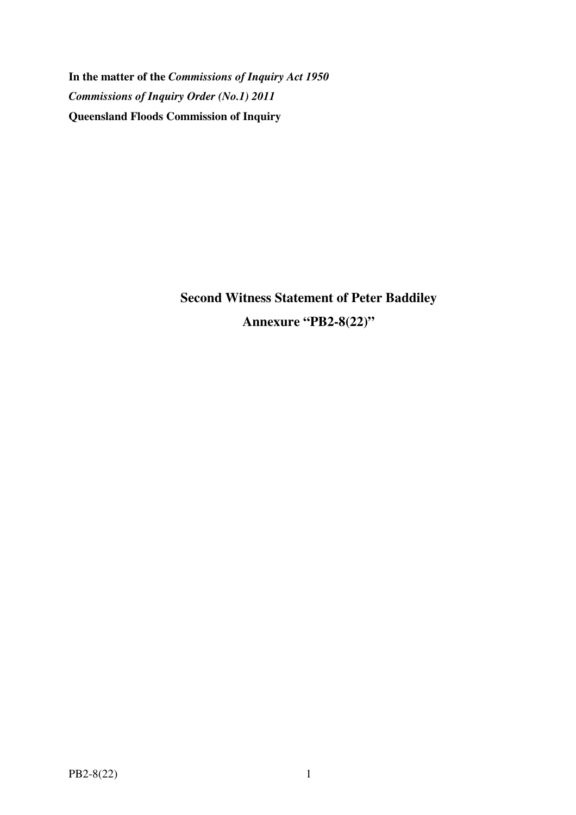**In the matter of the** *Commissions of Inquiry Act 1950 Commissions of Inquiry Order (No.1) 2011* **Queensland Floods Commission of Inquiry** 

> **Second Witness Statement of Peter Baddiley Annexure "PB2-8(22)"**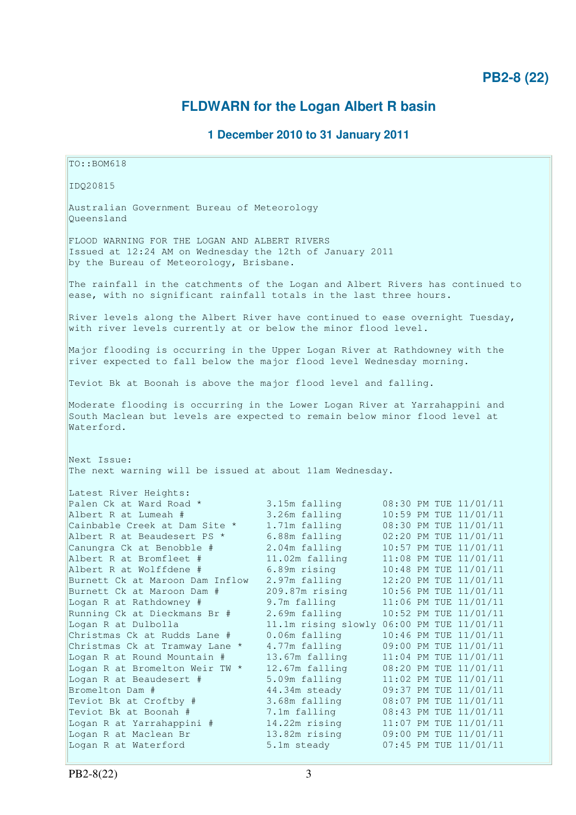## **PB2-8 (22)**

# **FLDWARN for the Logan Albert R basin**

### **1 December 2010 to 31 January 2011**

TO::BOM618 IDQ20815 Australian Government Bureau of Meteorology Queensland FLOOD WARNING FOR THE LOGAN AND ALBERT RIVERS Issued at 12:24 AM on Wednesday the 12th of January 2011 by the Bureau of Meteorology, Brisbane. The rainfall in the catchments of the Logan and Albert Rivers has continued to ease, with no significant rainfall totals in the last three hours. River levels along the Albert River have continued to ease overnight Tuesday, with river levels currently at or below the minor flood level. Major flooding is occurring in the Upper Logan River at Rathdowney with the river expected to fall below the major flood level Wednesday morning. Teviot Bk at Boonah is above the major flood level and falling. Moderate flooding is occurring in the Lower Logan River at Yarrahappini and South Maclean but levels are expected to remain below minor flood level at Waterford. Next Issue: The next warning will be issued at about 11am Wednesday. Latest River Heights: Palen Ck at Ward Road \* 3.15m falling 08:30 PM TUE 11/01/11 Albert R at Lumeah # 3.26m falling 10:59 PM TUE 11/01/11 Cainbable Creek at Dam Site  $*$  1.71m falling 08:30 PM TUE 11/01/11 Albert R at Beaudesert PS \* 6.88m falling 02:20 PM TUE 11/01/11 Canungra Ck at Benobble # 2.04m falling 10:57 PM TUE 11/01/11 Albert R at Bromfleet # 11.02m falling 11:08 PM TUE 11/01/11 Albert R at Wolffdene # 6.89m rising 10:48 PM TUE 11/01/11 Burnett Ck at Maroon Dam Inflow 2.97m falling 12:20 PM TUE 11/01/11 Burnett Ck at Maroon Dam # 209.87m rising 10:56 PM TUE 11/01/11 Logan R at Rathdowney # 9.7m falling 11:06 PM TUE 11/01/11 Running Ck at Dieckmans Br # 2.69m falling 10:52 PM TUE 11/01/11 Logan R at Dulbolla 11.1m rising slowly 06:00 PM TUE 11/01/11 Christmas Ck at Rudds Lane # 0.06m falling 10:46 PM TUE 11/01/11 Christmas Ck at Tramway Lane \* 4.77m falling 09:00 PM TUE 11/01/11 Logan R at Round Mountain # 13.67m falling 11:04 PM TUE 11/01/11 Logan R at Bromelton Weir TW \* 12.67m falling 08:20 PM TUE 11/01/11 Logan R at Beaudesert # 5.09m falling 11:02 PM TUE 11/01/11 Bromelton Dam # 44.34m steady 09:37 PM TUE 11/01/11 Teviot Bk at Croftby # 3.68m falling 08:07 PM TUE 11/01/11 Teviot Bk at Boonah # 7.1m falling 08:43 PM TUE 11/01/11 Logan R at Yarrahappini # 14.22m rising 11:07 PM TUE 11/01/11 Logan R at Maclean Br 13.82m rising 09:00 PM TUE 11/01/11 Logan R at Waterford 5.1m steady 07:45 PM TUE 11/01/11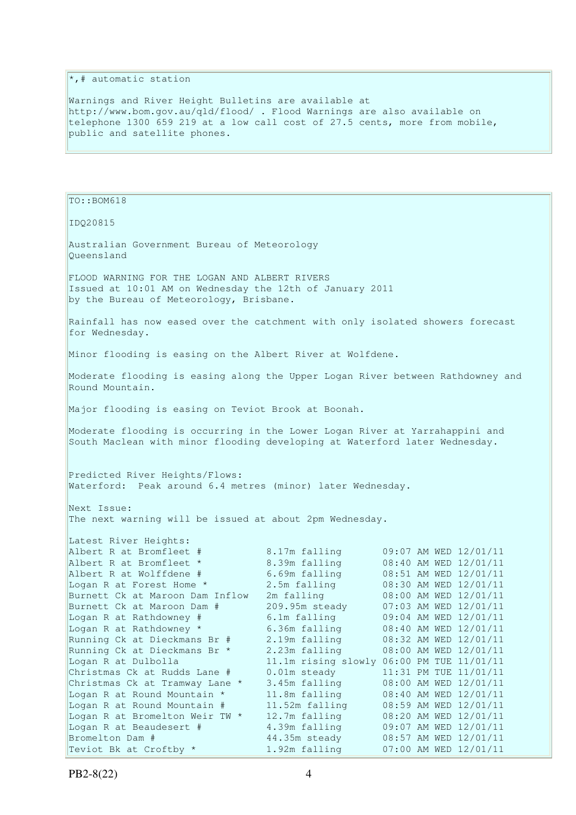$\vert \cdot \vert_*$  automatic station

Warnings and River Height Bulletins are available at http://www.bom.gov.au/qld/flood/ . Flood Warnings are also available on telephone 1300 659 219 at a low call cost of 27.5 cents, more from mobile, public and satellite phones.

TO::BOM618 IDQ20815 Australian Government Bureau of Meteorology Queensland FLOOD WARNING FOR THE LOGAN AND ALBERT RIVERS Issued at 10:01 AM on Wednesday the 12th of January 2011 by the Bureau of Meteorology, Brisbane. Rainfall has now eased over the catchment with only isolated showers forecast for Wednesday. Minor flooding is easing on the Albert River at Wolfdene. Moderate flooding is easing along the Upper Logan River between Rathdowney and Round Mountain. Major flooding is easing on Teviot Brook at Boonah. Moderate flooding is occurring in the Lower Logan River at Yarrahappini and South Maclean with minor flooding developing at Waterford later Wednesday. Predicted River Heights/Flows: Waterford: Peak around 6.4 metres (minor) later Wednesday. Next Issue: The next warning will be issued at about 2pm Wednesday. Latest River Heights: Albert R at Bromfleet # 8.17m falling 09:07 AM WED 12/01/11 Albert R at Bromfleet \* 8.39m falling 08:40 AM WED 12/01/11 Albert R at Wolffdene # 6.69m falling 08:51 AM WED 12/01/11 Logan R at Forest Home \* 2.5m falling 08:30 AM WED 12/01/11 Burnett Ck at Maroon Dam Inflow 2m falling 08:00 AM WED 12/01/11 Burnett Ck at Maroon Dam # 209.95m steady 07:03 AM WED 12/01/11 Logan R at Rathdowney # 6.1m falling 09:04 AM WED 12/01/11 Logan R at Rathdowney \* 6.36m falling 08:40 AM WED 12/01/11 Running Ck at Dieckmans Br # 2.19m falling 08:32 AM WED 12/01/11 Running Ck at Dieckmans Br \* 2.23m falling 08:00 AM WED 12/01/11 Logan R at Dulbolla 11.1m rising slowly 06:00 PM TUE 11/01/11 Christmas Ck at Rudds Lane # 0.01m steady 11:31 PM TUE 11/01/11 Christmas Ck at Tramway Lane \* 3.45m falling 08:00 AM WED 12/01/11 Logan R at Round Mountain \* 11.8m falling 08:40 AM WED 12/01/11 Logan R at Round Mountain # 11.52m falling 08:59 AM WED 12/01/11 Logan R at Bromelton Weir TW \* 12.7m falling 08:20 AM WED 12/01/11 Logan R at Beaudesert # 4.39m falling 09:07 AM WED 12/01/11 Bromelton Dam # 44.35m steady 08:57 AM WED 12/01/11 Teviot Bk at Croftby  $\star$  1.92m falling 07:00 AM WED 12/01/11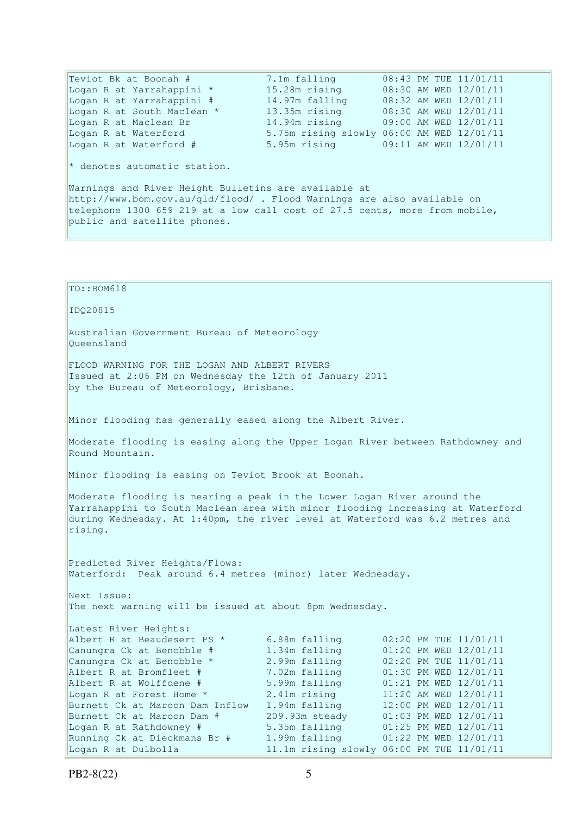Teviot Bk at Boonah # 7.1m falling 08:43 PM TUE 11/01/11 Logan R at Yarrahappini \* 15.28m rising 08:30 AM WED 12/01/11 Logan R at Yarrahappini # 14.97m falling 08:32 AM WED 12/01/11 Logan R at South Maclean \* 13.35m rising 08:30 AM WED 12/01/11 Logan R at Maclean Br 14.94m rising 09:00 AM WED 12/01/11 Logan R at Waterford 5.75m rising slowly 06:00 AM WED 12/01/11 Logan R at Waterford # 5.95m rising 09:11 AM WED 12/01/11  $*$  denotes automatic station. Warnings and River Height Bulletins are available at http://www.bom.gov.au/qld/flood/ . Flood Warnings are also available on telephone 1300 659 219 at a low call cost of 27.5 cents, more from mobile, public and satellite phones. TO::BOM618 IDQ20815 Australian Government Bureau of Meteorology Queensland FLOOD WARNING FOR THE LOGAN AND ALBERT RIVERS Issued at 2:06 PM on Wednesday the 12th of January 2011 by the Bureau of Meteorology, Brisbane. Minor flooding has generally eased along the Albert River. Moderate flooding is easing along the Upper Logan River between Rathdowney and Round Mountain. Minor flooding is easing on Teviot Brook at Boonah. Moderate flooding is nearing a peak in the Lower Logan River around the Yarrahappini to South Maclean area with minor flooding increasing at Waterford during Wednesday. At 1:40pm, the river level at Waterford was 6.2 metres and rising. Predicted River Heights/Flows: Waterford: Peak around 6.4 metres (minor) later Wednesday. Next Issue: The next warning will be issued at about 8pm Wednesday. Latest River Heights: Albert R at Beaudesert PS \* 6.88m falling 02:20 PM TUE 11/01/11 Canungra Ck at Benobble # 1.34m falling 01:20 PM WED 12/01/11 Canungra Ck at Benobble \* 2.99m falling 02:20 PM TUE 11/01/11 Albert R at Bromfleet # 7.02m falling 01:30 PM WED 12/01/11 Albert R at Wolffdene # 5.99m falling 01:21 PM WED 12/01/11 Logan R at Forest Home  $*$  2.41m rising 11:20 AM WED 12/01/11 Burnett Ck at Maroon Dam Inflow 1.94m falling 12:00 PM WED 12/01/11 Burnett Ck at Maroon Dam # 209.93m steady 01:03 PM WED 12/01/11 Logan R at Rathdowney # 5.35m falling 01:25 PM WED 12/01/11 Running Ck at Dieckmans Br # 1.99m falling 01:22 PM WED 12/01/11

Logan R at Dulbolla 11.1m rising slowly 06:00 PM TUE 11/01/11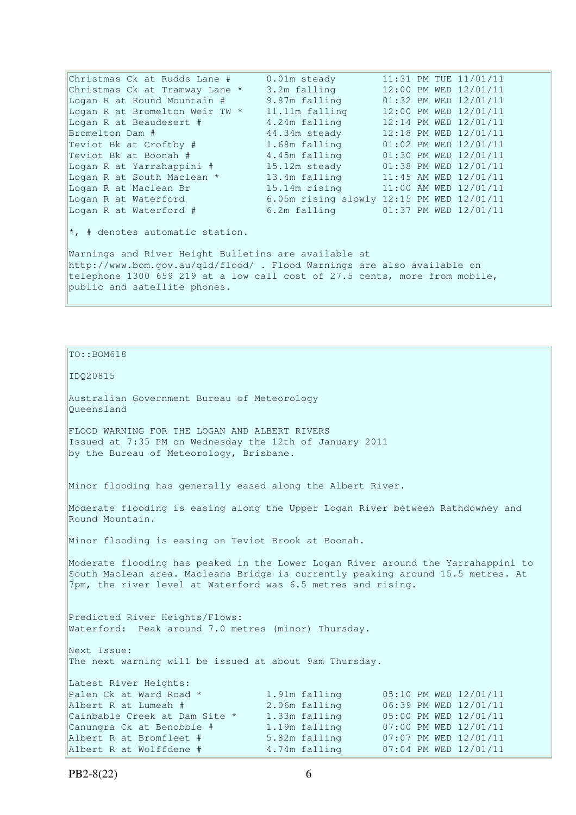Christmas Ck at Rudds Lane # 0.01m steady 11:31 PM TUE 11/01/11 Christmas Ck at Tramway Lane \* 3.2m falling 12:00 PM WED 12/01/11 Logan R at Round Mountain # 9.87m falling 01:32 PM WED 12/01/11 Logan R at Bromelton Weir TW \* 11.11m falling 12:00 PM WED 12/01/11 Logan R at Beaudesert # 4.24m falling 12:14 PM WED 12/01/11 Bromelton Dam # 44.34m steady 12:18 PM WED 12/01/11 Teviot Bk at Croftby # 1.68m falling 01:02 PM WED 12/01/11 Teviot Bk at Boonah # 4.45m falling 01:30 PM WED 12/01/11 Logan R at Yarrahappini # 15.12m steady 01:38 PM WED 12/01/11 Logan R at South Maclean \* 13.4m falling 11:45 AM WED 12/01/11 Logan R at Maclean Br 15.14m rising 11:00 AM WED 12/01/11 Logan R at Waterford 6.05m rising slowly 12:15 PM WED 12/01/11 Logan R at Waterford  $\#$  6.2m falling  $01:37$  PM WED  $12/01/11$  $\star$ , # denotes automatic station. Warnings and River Height Bulletins are available at http://www.bom.gov.au/qld/flood/ . Flood Warnings are also available on telephone 1300 659 219 at a low call cost of 27.5 cents, more from mobile, public and satellite phones.

TO::BOM618 IDQ20815 Australian Government Bureau of Meteorology Queensland FLOOD WARNING FOR THE LOGAN AND ALBERT RIVERS Issued at 7:35 PM on Wednesday the 12th of January 2011 by the Bureau of Meteorology, Brisbane. Minor flooding has generally eased along the Albert River. Moderate flooding is easing along the Upper Logan River between Rathdowney and Round Mountain. Minor flooding is easing on Teviot Brook at Boonah. Moderate flooding has peaked in the Lower Logan River around the Yarrahappini to South Maclean area. Macleans Bridge is currently peaking around 15.5 metres. At 7pm, the river level at Waterford was 6.5 metres and rising. Predicted River Heights/Flows: Waterford: Peak around 7.0 metres (minor) Thursday. Next Issue: The next warning will be issued at about 9am Thursday. Latest River Heights: Palen Ck at Ward Road \* 1.91m falling 05:10 PM WED 12/01/11 Albert R at Lumeah # 2.06m falling 06:39 PM WED 12/01/11 Cainbable Creek at Dam Site  $*$  1.33m falling  $05:00$  PM WED  $12/01/11$ Canungra Ck at Benobble # 1.19m falling 07:00 PM WED 12/01/11 Albert R at Bromfleet # 5.82m falling 07:07 PM WED 12/01/11 Albert R at Wolffdene # 4.74m falling 07:04 PM WED 12/01/11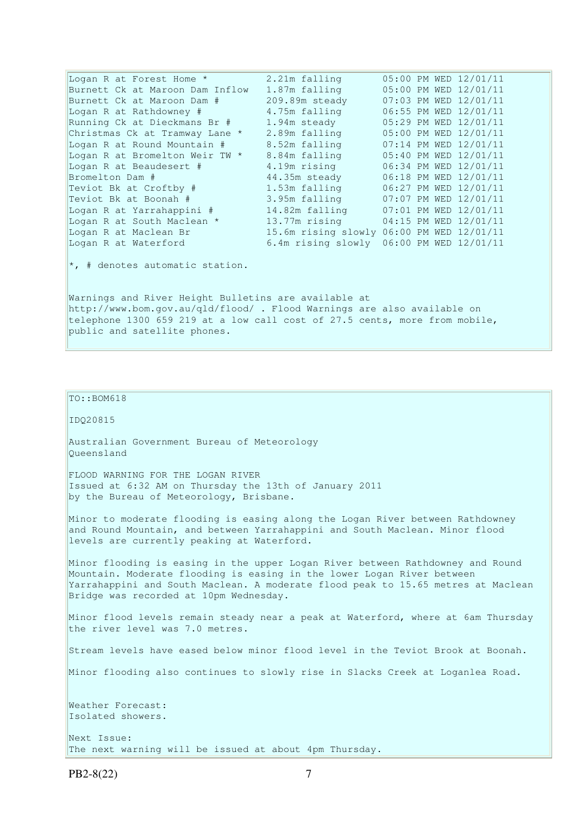| Logan R at Forest Home *                                                | 2.21m falling  | 05:00 PM WED 12/01/11                     |  |  |  |  |  |
|-------------------------------------------------------------------------|----------------|-------------------------------------------|--|--|--|--|--|
| Burnett Ck at Maroon Dam Inflow                                         | 1.87m falling  | 05:00 PM WED 12/01/11                     |  |  |  |  |  |
| Burnett Ck at Maroon Dam #                                              | 209.89m steady | 07:03 PM WED 12/01/11                     |  |  |  |  |  |
| Logan R at Rathdowney #                                                 | 4.75m falling  | 06:55 PM WED 12/01/11                     |  |  |  |  |  |
| Running Ck at Dieckmans Br #                                            | 1.94m steady   | 05:29 PM WED 12/01/11                     |  |  |  |  |  |
| Christmas Ck at Tramway Lane *                                          | 2.89m falling  | 05:00 PM WED 12/01/11                     |  |  |  |  |  |
| Logan R at Round Mountain #                                             | 8.52m falling  | 07:14 PM WED 12/01/11                     |  |  |  |  |  |
| Logan R at Bromelton Weir TW *                                          | 8.84m falling  | 05:40 PM WED 12/01/11                     |  |  |  |  |  |
| Logan R at Beaudesert #                                                 | 4.19m rising   | 06:34 PM WED 12/01/11                     |  |  |  |  |  |
| Bromelton Dam #                                                         | 44.35m steady  | 06:18 PM WED 12/01/11                     |  |  |  |  |  |
| Teviot Bk at Croftby #                                                  | 1.53m falling  | 06:27 PM WED 12/01/11                     |  |  |  |  |  |
| Teviot Bk at Boonah #                                                   | 3.95m falling  | 07:07 PM WED 12/01/11                     |  |  |  |  |  |
| Logan R at Yarrahappini #                                               |                | 14.82m falling 07:01 PM WED 12/01/11      |  |  |  |  |  |
| Logan R at South Maclean *                                              |                | 13.77m rising 04:15 PM WED 12/01/11       |  |  |  |  |  |
| Logan R at Maclean Br                                                   |                | 15.6m rising slowly 06:00 PM WED 12/01/11 |  |  |  |  |  |
| Logan R at Waterford                                                    |                | 6.4m rising slowly 06:00 PM WED 12/01/11  |  |  |  |  |  |
| $\star$ , # denotes automatic station.                                  |                |                                           |  |  |  |  |  |
| Warnings and River Height Bulletins are available at                    |                |                                           |  |  |  |  |  |
| http://www.bom.gov.au/qld/flood/ . Flood Warnings are also available on |                |                                           |  |  |  |  |  |

telephone 1300 659 219 at a low call cost of 27.5 cents, more from mobile, public and satellite phones.

 $\vert$ TO::BOM618

IDQ20815

Australian Government Bureau of Meteorology Queensland

FLOOD WARNING FOR THE LOGAN RIVER Issued at 6:32 AM on Thursday the 13th of January 2011 by the Bureau of Meteorology, Brisbane.

Minor to moderate flooding is easing along the Logan River between Rathdowney and Round Mountain, and between Yarrahappini and South Maclean. Minor flood levels are currently peaking at Waterford.

Minor flooding is easing in the upper Logan River between Rathdowney and Round Mountain. Moderate flooding is easing in the lower Logan River between Yarrahappini and South Maclean. A moderate flood peak to 15.65 metres at Maclean Bridge was recorded at 10pm Wednesday.

Minor flood levels remain steady near a peak at Waterford, where at 6am Thursday the river level was 7.0 metres.

Stream levels have eased below minor flood level in the Teviot Brook at Boonah.

Minor flooding also continues to slowly rise in Slacks Creek at Loganlea Road.

Weather Forecast: Isolated showers.

Next Issue: The next warning will be issued at about 4pm Thursday.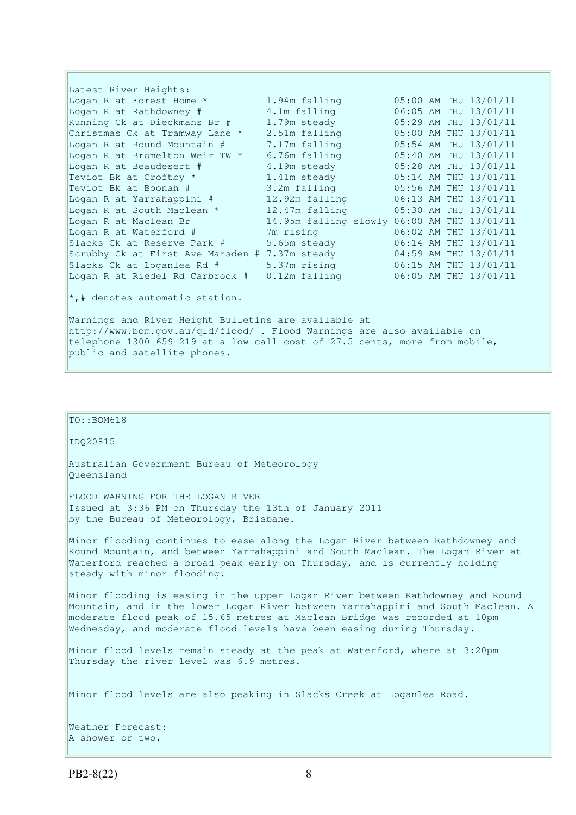Latest River Heights: Logan R at Forest Home \* 1.94m falling 05:00 AM THU 13/01/11 Logan R at Rathdowney # 4.1m falling 06:05 AM THU 13/01/11 Running Ck at Dieckmans Br # 1.79m steady 05:29 AM THU 13/01/11 Christmas Ck at Tramway Lane  $*$  2.51m falling  $05:00$  AM THU 13/01/11 Logan R at Round Mountain # 7.17m falling 05:54 AM THU 13/01/11 Logan R at Bromelton Weir TW  $*$  6.76m falling 05:40 AM THU 13/01/11 Logan R at Beaudesert # 4.19m steady 05:28 AM THU 13/01/11 Teviot Bk at Croftby  $\star$  1.41m steady 05:14 AM THU 13/01/11 Teviot Bk at Boonah # 3.2m falling 05:56 AM THU 13/01/11 Logan R at Yarrahappini # 12.92m falling 06:13 AM THU 13/01/11 Logan R at South Maclean \* 12.47m falling 05:30 AM THU 13/01/11 Logan R at Maclean Br 14.95m falling slowly 06:00 AM THU 13/01/11 Logan R at Waterford # 7m rising 06:02 AM THU 13/01/11 Slacks Ck at Reserve Park # 5.65m steady 06:14 AM THU 13/01/11 Scrubby Ck at First Ave Marsden # 7.37m steady 04:59 AM THU 13/01/11 Slacks Ck at Loganlea Rd # 5.37m rising 06:15 AM THU 13/01/11 Logan R at Riedel Rd Carbrook # 0.12m falling 06:05 AM THU 13/01/11

\*,# denotes automatic station.

Warnings and River Height Bulletins are available at http://www.bom.gov.au/qld/flood/ . Flood Warnings are also available on telephone 1300 659 219 at a low call cost of 27.5 cents, more from mobile, public and satellite phones.

#### TO::BOM618

IDQ20815

Australian Government Bureau of Meteorology Queensland

FLOOD WARNING FOR THE LOGAN RIVER Issued at 3:36 PM on Thursday the 13th of January 2011 by the Bureau of Meteorology, Brisbane.

Minor flooding continues to ease along the Logan River between Rathdowney and Round Mountain, and between Yarrahappini and South Maclean. The Logan River at Waterford reached a broad peak early on Thursday, and is currently holding steady with minor flooding.

Minor flooding is easing in the upper Logan River between Rathdowney and Round Mountain, and in the lower Logan River between Yarrahappini and South Maclean. A moderate flood peak of 15.65 metres at Maclean Bridge was recorded at 10pm Wednesday, and moderate flood levels have been easing during Thursday.

Minor flood levels remain steady at the peak at Waterford, where at 3:20pm Thursday the river level was 6.9 metres.

Minor flood levels are also peaking in Slacks Creek at Loganlea Road.

Weather Forecast: A shower or two.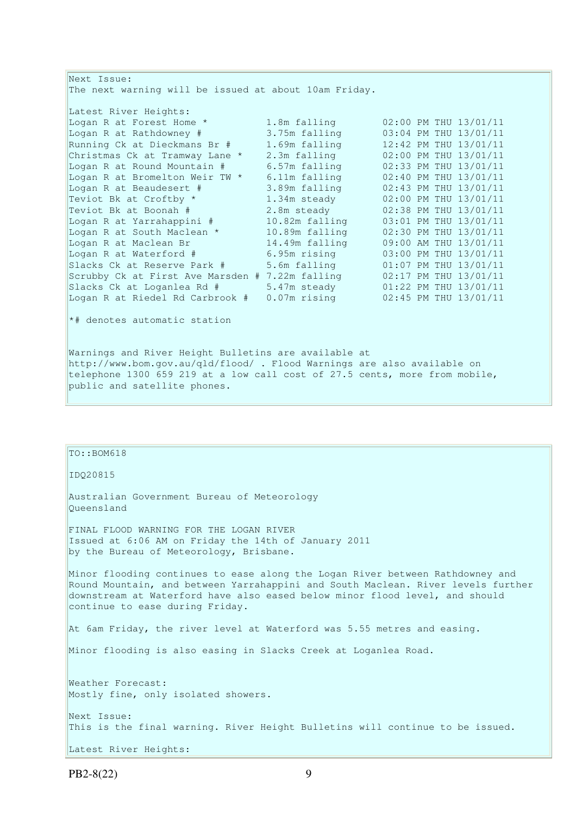| Next Issue:                                                                |                 |  |  |  |                       |  |  |
|----------------------------------------------------------------------------|-----------------|--|--|--|-----------------------|--|--|
| The next warning will be issued at about 10am Friday.                      |                 |  |  |  |                       |  |  |
| Latest River Heights:                                                      |                 |  |  |  |                       |  |  |
| Logan R at Forest Home *                                                   | 1.8m falling    |  |  |  | 02:00 PM THU 13/01/11 |  |  |
| Logan R at Rathdowney #                                                    | 3.75m falling   |  |  |  | 03:04 PM THU 13/01/11 |  |  |
| Running Ck at Dieckmans Br #                                               | 1.69m falling   |  |  |  | 12:42 PM THU 13/01/11 |  |  |
| Christmas Ck at Tramway Lane *                                             | 2.3m falling    |  |  |  | 02:00 PM THU 13/01/11 |  |  |
| Logan R at Round Mountain #                                                | 6.57m falling   |  |  |  | 02:33 PM THU 13/01/11 |  |  |
| Logan R at Bromelton Weir TW *                                             | 6.11m falling   |  |  |  | 02:40 PM THU 13/01/11 |  |  |
| Logan R at Beaudesert #                                                    | 3.89m falling   |  |  |  | 02:43 PM THU 13/01/11 |  |  |
| Teviot Bk at Croftby *                                                     | 1.34m steady    |  |  |  | 02:00 PM THU 13/01/11 |  |  |
| Teviot Bk at Boonah #                                                      | 2.8m steady     |  |  |  | 02:38 PM THU 13/01/11 |  |  |
| Logan R at Yarrahappini #                                                  | 10.82m falling  |  |  |  | 03:01 PM THU 13/01/11 |  |  |
| Logan R at South Maclean *                                                 | 10.89m falling  |  |  |  | 02:30 PM THU 13/01/11 |  |  |
| Logan R at Maclean Br                                                      | 14.49m falling  |  |  |  | 09:00 AM THU 13/01/11 |  |  |
| Logan R at Waterford #                                                     | 6.95m rising    |  |  |  | 03:00 PM THU 13/01/11 |  |  |
| Slacks Ck at Reserve Park #                                                | 5.6m falling    |  |  |  | 01:07 PM THU 13/01/11 |  |  |
| Scrubby Ck at First Ave Marsden # 7.22m falling                            |                 |  |  |  | 02:17 PM THU 13/01/11 |  |  |
| Slacks Ck at Loganlea Rd #                                                 | 5.47m steady    |  |  |  | 01:22 PM THU 13/01/11 |  |  |
| Logan R at Riedel Rd Carbrook #                                            | $0.07$ m rising |  |  |  | 02:45 PM THU 13/01/11 |  |  |
| *# denotes automatic station                                               |                 |  |  |  |                       |  |  |
| Warnings and River Height Bulletins are available at                       |                 |  |  |  |                       |  |  |
| http://www.bom.gov.au/qld/flood/ . Flood Warnings are also available on    |                 |  |  |  |                       |  |  |
| telephone 1300 659 219 at a low call cost of 27.5 cents, more from mobile, |                 |  |  |  |                       |  |  |

#### TO::BOM618

public and satellite phones.

IDQ20815

Australian Government Bureau of Meteorology Queensland

FINAL FLOOD WARNING FOR THE LOGAN RIVER Issued at 6:06 AM on Friday the 14th of January 2011 by the Bureau of Meteorology, Brisbane.

Minor flooding continues to ease along the Logan River between Rathdowney and Round Mountain, and between Yarrahappini and South Maclean. River levels further downstream at Waterford have also eased below minor flood level, and should continue to ease during Friday.

At 6am Friday, the river level at Waterford was 5.55 metres and easing.

Minor flooding is also easing in Slacks Creek at Loganlea Road.

Weather Forecast: Mostly fine, only isolated showers. Next Issue: This is the final warning. River Height Bulletins will continue to be issued. Latest River Heights: